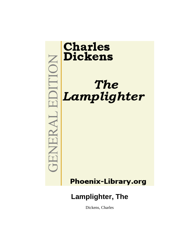

Dickens, Charles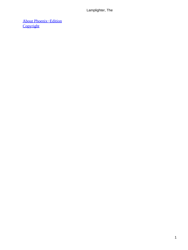[About Phoenix−Edition](#page-18-0) **[Copyright](#page-19-0)**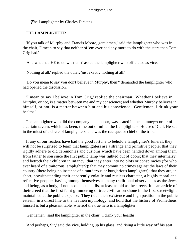#### **The Lamplighter by Charles Dickens**

#### THE **LAMPLIGHTER**

 'If you talk of Murphy and Francis Moore, gentlemen,' said the lamplighter who was in the chair, 'I mean to say that neither of 'em ever had any more to do with the stars than Tom Grig had.'

'And what had HE to do with 'em?' asked the lamplighter who officiated as vice.

'Nothing at all,' replied the other; 'just exactly nothing at all.'

 'Do you mean to say you don't believe in Murphy, then?' demanded the lamplighter who had opened the discussion.

 'I mean to say I believe in Tom Grig,' replied the chairman. 'Whether I believe in Murphy, or not, is a matter between me and my conscience; and whether Murphy believes in himself, or not, is a matter between him and his conscience. Gentlemen, I drink your healths.'

 The lamplighter who did the company this honour, was seated in the chimney−corner of a certain tavern, which has been, time out of mind, the Lamplighters' House of Call. He sat in the midst of a circle of lamplighters, and was the cacique, or chief of the tribe.

 If any of our readers have had the good fortune to behold a lamplighter's funeral, they will not be surprised to learn that lamplighters are a strange and primitive people; that they rigidly adhere to old ceremonies and customs which have been handed down among them from father to son since the first public lamp was lighted out of doors; that they intermarry, and betroth their children in infancy; that they enter into no plots or conspiracies (for who ever heard of a traitorous lamplighter?); that they commit no crimes against the laws of their country (there being no instance of a murderous or burglarious lamplighter); that they are, in short, notwithstanding their apparently volatile and restless character, a highly moral and reflective people: having among themselves as many traditional observances as the Jews, and being, as a body, if not as old as the hills, at least as old as the streets. It is an article of their creed that the first faint glimmering of true civilisation shone in the first street−light maintained at the public expense. They trace their existence and high position in the public esteem, in a direct line to the heathen mythology; and hold that the history of Prometheus himself is but a pleasant fable, whereof the true hero is a lamplighter.

'Gentlemen,' said the lamplighter in the chair, 'I drink your healths.'

'And perhaps, Sir,' said the vice, holding up his glass, and rising a little way off his seat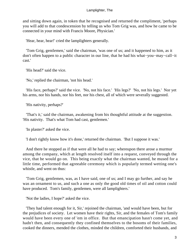and sitting down again, in token that he recognised and returned the compliment, 'perhaps you will add to that condescension by telling us who Tom Grig was, and how he came to be connected in your mind with Francis Moore, Physician.'

'Hear, hear, hear!' cried the lamplighters generally.

 'Tom Grig, gentlemen,' said the chairman, 'was one of us; and it happened to him, as it don't often happen to a public character in our line, that he had his what−you−may−call−it cast.'

'His head?' said the vice.

'No,' replied the chairman, 'not his head.'

 'His face, perhaps?' said the vice. 'No, not his face.' 'His legs?' 'No, not his legs.' Nor yet his arms, nor his hands, nor his feet, nor his chest, all of which were severally suggested.

'His nativity, perhaps?'

 'That's it,' said the chairman, awakening from his thoughtful attitude at the suggestion. 'His nativity. That's what Tom had cast, gentlemen.'

'In plaster?' asked the vice.

'I don't rightly know how it's done,' returned the chairman. 'But I suppose it was.'

 And there he stopped as if that were all he had to say; whereupon there arose a murmur among the company, which at length resolved itself into a request, conveyed through the vice, that he would go on. This being exactly what the chairman wanted, he mused for a little time, performed that agreeable ceremony which is popularly termed wetting one's whistle, and went on thus:

 'Tom Grig, gentlemen, was, as I have said, one of us; and I may go further, and say he was an ornament to us, and such a one as only the good old times of oil and cotton could have produced. Tom's family, gentlemen, were all lamplighters.'

'Not the ladies, I hope?' asked the vice.

 'They had talent enough for it, Sir,' rejoined the chairman, 'and would have been, but for the prejudices of society. Let women have their rights, Sir, and the females of Tom's family would have been every one of 'em in office. But that emancipation hasn't come yet, and hadn't then, and consequently they confined themselves to the bosoms of their families, cooked the dinners, mended the clothes, minded the children, comforted their husbands, and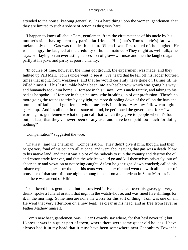attended to the house−keeping generally. It's a hard thing upon the women, gentlemen, that they are limited to such a sphere of action as this; very hard.

 'I happen to know all about Tom, gentlemen, from the circumstance of his uncle by his mother's side, having been my particular friend. His (that's Tom's uncle's) fate was a melancholy one. Gas was the death of him. When it was first talked of, he laughed. He wasn't angry; he laughed at the credulity of human nature. «They might as well talk,» he says, «of laying on an everlasting succession of glow−worms;» and then he laughed again, partly at his joke, and partly at poor humanity.

 'In course of time, however, the thing got ground, the experiment was made, and they lighted up Pall Mall. Tom's uncle went to see it. I've heard that he fell off his ladder fourteen times that night, from weakness, and that he would certainly have gone on falling till he killed himself, if his last tumble hadn't been into a wheelbarrow which was going his way, and humanely took him home. «I foresee in this,» says Tom's uncle faintly, and taking to his bed as he spoke − «I foresee in this,» he says, «the breaking up of our profession. There's no more going the rounds to trim by daylight, no more dribbling down of the oil on the hats and bonnets of ladies and gentlemen when one feels in spirits. Any low fellow can light a gas−lamp. And it's all up.» In this state of mind, he petitioned the government for − I want a word again, gentlemen – what do you call that which they give to people when it's found out, at last, that they've never been of any use, and have been paid too much for doing nothing?'

'Compensation?' suggested the vice.

 'That's it,' said the chairman. 'Compensation. They didn't give it him, though, and then he got very fond of his country all at once, and went about saying that gas was a death−blow to his native land, and that it was a plot of the radicals to ruin the country and destroy the oil and cotton trade for ever, and that the whales would go and kill themselves privately, out of sheer spite and vexation at not being caught. At last he got right−down cracked; called his tobacco−pipe a gas−pipe; thought his tears were lamp− oil; and went on with all manner of nonsense of that sort, till one night he hung himself on a lamp−iron in Saint Martin's Lane, and there was an end of HIM.

 'Tom loved him, gentlemen, but he survived it. He shed a tear over his grave, got very drunk, spoke a funeral oration that night in the watch−house, and was fined five shillings for it, in the morning. Some men are none the worse for this sort of thing. Tom was one of 'em. He went that very afternoon on a new beat: as clear in his head, and as free from fever as Father Mathew himself.

 'Tom's new beat, gentlemen, was − I can't exactly say where, for that he'd never tell; but I know it was in a quiet part of town, where there were some queer old houses. I have always had it in my head that it must have been somewhere near Canonbury Tower in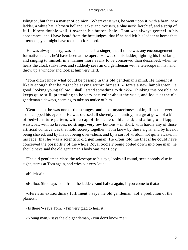Islington, but that's a matter of opinion. Wherever it was, he went upon it, with a bran−new ladder, a white hat, a brown holland jacket and trousers, a blue neck−kerchief, and a sprig of full− blown double wall−flower in his button−hole. Tom was always genteel in his appearance, and I have heard from the best judges, that if he had left his ladder at home that afternoon, you might have took him for a lord.

 'He was always merry, was Tom, and such a singer, that if there was any encouragement for native talent, he'd have been at the opera. He was on his ladder, lighting his first lamp, and singing to himself in a manner more easily to be conceived than described, when he hears the clock strike five, and suddenly sees an old gentleman with a telescope in his hand, throw up a window and look at him very hard.

 'Tom didn't know what could be passing in this old gentleman's mind. He thought it likely enough that he might be saying within himself, «Here's a new lamplighter − a good−looking young fellow − shall I stand something to drink?» Thinking this possible, he keeps quite still, pretending to be very particular about the wick, and looks at the old gentleman sideways, seeming to take no notice of him.

 'Gentlemen, he was one of the strangest and most mysterious−looking files that ever Tom clapped his eyes on. He was dressed all slovenly and untidy, in a great gown of a kind of bed−furniture pattern, with a cap of the same on his head; and a long old flapped waistcoat; with no braces, no strings, very few buttons − in short, with hardly any of those artificial contrivances that hold society together. Tom knew by these signs, and by his not being shaved, and by his not being over−clean, and by a sort of wisdom not quite awake, in his face, that he was a scientific old gentleman. He often told me that if he could have conceived the possibility of the whole Royal Society being boiled down into one man, he should have said the old gentleman's body was that Body.

 'The old gentleman claps the telescope to his eye, looks all round, sees nobody else in sight, stares at Tom again, and cries out very loud:

«Hal−loa!»

«Halloa, Sir,» says Tom from the ladder; «and halloa again, if you come to that.»

 «Here's an extraordinary fulfilment,» says the old gentleman, «of a prediction of the planets.»

«Is there?» says Tom. «I'm very glad to hear it.»

«Young man,» says the old gentleman, «you don't know me.»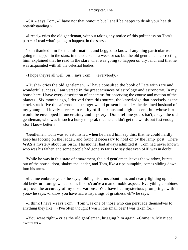«Sir,» says Tom, «I have not that honour; but I shall be happy to drink your health, notwithstanding.»

 «I read,» cries the old gentleman, without taking any notice of this politeness on Tom's part − «I read what's going to happen, in the stars.»

 'Tom thanked him for the information, and begged to know if anything particular was going to happen in the stars, in the course of a week or so; but the old gentleman, correcting him, explained that he read in the stars what was going to happen on dry land, and that he was acquainted with all the celestial bodies.

«I hope they're all well, Sir,» says Tom, − «everybody.»

 «Hush!» cries the old gentleman. «I have consulted the book of Fate with rare and wonderful success. I am versed in the great sciences of astrology and astronomy. In my house here, I have every description of apparatus for observing the course and motion of the planets. Six months ago, I derived from this source, the knowledge that precisely as the clock struck five this afternoon a stranger would present himself − the destined husband of my young and lovely niece − in reality of illustrious and high descent, but whose birth would be enveloped in uncertainty and mystery. Don't tell me yours isn't,» says the old gentleman, who was in such a hurry to speak that he couldn't get the words out fast enough, «for I know better.»

 'Gentlemen, Tom was so astonished when he heard him say this, that he could hardly keep his footing on the ladder, and found it necessary to hold on by the lamp−post. There **WAS a** mystery about his birth. His mother had always admitted it. Tom had never known who was his father, and some people had gone so far as to say that even SHE was in doubt.

 'While he was in this state of amazement, the old gentleman leaves the window, bursts out of the house−door, shakes the ladder, and Tom, like a ripe pumpkin, comes sliding down into his arms.

 «Let me embrace you,» he says, folding his arms about him, and nearly lighting up his old bed−furniture gown at Tom's link. «You're a man of noble aspect. Everything combines to prove the accuracy of my observations. You have had mysterious promptings within you,» he says; «I know you have had whisperings of greatness, eh?» he says.

 «I think I have,» says Tom − Tom was one of those who can persuade themselves to anything they like − «I've often thought I wasn't the small beer I was taken for.»

 «You were right,» cries the old gentleman, hugging him again. «Come in. My niece awaits us.»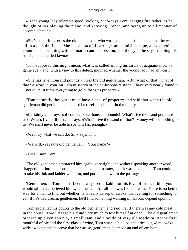«Is the young lady tolerable good−looking, Sir?» says Tom, hanging fire rather, as he thought of her playing the piano, and knowing French, and being up to all manner of accomplishments.

 «She's beautiful!» cries the old gentleman, who was in such a terrible bustle that he was all in a perspiration. «She has a graceful carriage, an exquisite shape, a sweet voice, a countenance beaming with animation and expression; and the eye,» he says, rubbing his hands, «of a startled fawn.»

 'Tom supposed this might mean, what was called among his circle of acquaintance, «a game eye;» and, with a view to this defect, inquired whether the young lady had any cash.

 «She has five thousand pounds,» cries the old gentleman. «But what of that? what of that? A word in your ear. I'm in search of the philosopher's stone. I have very nearly found it − not quite. It turns everything to gold; that's its property.»

 'Tom naturally thought it must have a deal of property; and said that when the old gentleman did get it, he hoped he'd be careful to keep it in the family.

 «Certainly,» he says, «of course. Five thousand pounds! What's five thousand pounds to us? What's five million?» he says. «What's five thousand million? Money will be nothing to us. We shall never be able to spend it fast enough.»

«We'll try what we can do, Sir,» says Tom.

«We will,» says the old gentleman. «Your name?»

«Grig,» says Tom.

 'The old gentleman embraced him again, very tight; and without speaking another word, dragged him into the house in such an excited manner, that it was as much as Tom could do to take his link and ladder with him, and put them down in the passage.

 'Gentlemen, if Tom hadn't been always remarkable for his love of truth, I think you would still have believed him when he said that all this was like a dream. There is no better way for a man to find out whether he is really asleep or awake, than calling for something to eat. If he's in a dream, gentlemen, he'll find something wanting in flavour, depend upon it.

 'Tom explained his doubts to the old gentleman, and said that if there was any cold meat in the house, it would ease his mind very much to test himself at once. The old gentleman ordered up a venison pie, a small ham, and a bottle of very old Madeira. At the first mouthful of pie and the first glass of wine, Tom smacks his lips and cries out, «I'm awake − wide awake;» and to prove that he was so, gentlemen, he made an end of 'em both.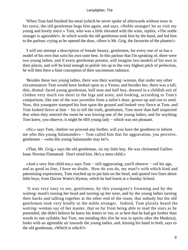'When Tom had finished his meal (which he never spoke of afterwards without tears in his eyes), the old gentleman hugs him again, and says, «Noble stranger! let us visit my young and lovely niece.» Tom, who was a little elevated with the wine, replies, «The noble stranger is agreeable!» At which words the old gentleman took him by the hand, and led him to the parlour; crying as he opened the door, «Here is Mr. Grig, the favourite of the planets!»

 'I will not attempt a description of female beauty, gentlemen, for every one of us has a model of his own that suits his own taste best. In this parlour that I'm speaking of, there were two young ladies; and if every gentleman present, will imagine two models of his own in their places, and will be kind enough to polish 'em up to the very highest pitch of perfection, he will then have a faint conception of their uncommon radiance.

 'Besides these two young ladies, there was their waiting−woman, that under any other circumstances Tom would have looked upon as a Venus; and besides her, there was a tall, thin, dismal−faced young gentleman, half man and half boy, dressed in a childish suit of clothes very much too short in the legs and arms; and looking, according to Tom's comparison, like one of the wax juveniles from a tailor's door, grown up and run to seed. Now, this youngster stamped his foot upon the ground and looked very fierce at Tom, and Tom looked fierce at him – for to tell the truth, gentlemen, Tom more than half suspected that when they entered the room he was kissing one of the young ladies; and for anything Tom knew, you observe, it might be HIS young lady – which was not pleasant.

 «Sir,» says Tom, «before we proceed any further, will you have the goodness to inform me who this young Salamander» − Tom called him that for aggravation, you perceive, gentlemen − «who this young Salamander may be?»

 «That, Mr. Grig,» says the old gentleman, «is my little boy. He was christened Galileo Isaac Newton Flamstead. Don't mind him. He's a mere child.»

 «And a very fine child too,» says Tom − still aggravating, you'll observe − «of his age, and as good as fine, I have no doubt. How do you do, my man?» with which kind and patronising expressions, Tom reached up to pat him on the head, and quoted two lines about little boys, from Doctor Watts's Hymns, which he had learnt at a Sunday School.

 'It was very easy to see, gentlemen, by this youngster's frowning and by the waiting−maid's tossing her head and turning up her nose, and by the young ladies turning their backs and talking together at the other end of the room, that nobody but the old gentleman took very kindly to the noble stranger. Indeed, Tom plainly heard the waiting−woman say of her master, that so far from being able to read the stars as he pretended, she didn't believe he knew his letters in 'em, or at best that he had got further than words in one syllable; but Tom, not minding this (for he was in spirits after the Madeira), looks with an agreeable air towards the young ladies, and, kissing his hand to both, says to the old gentleman, «Which is which?»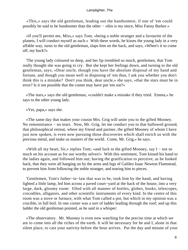«This,» says the old gentleman, leading out the handsomest, if one of 'em could possibly be said to be handsomer than the other − «this is my niece, Miss Fanny Barker.»

 «If you'll permit me, Miss,» says Tom, «being a noble stranger and a favourite of the planets, I will conduct myself as such.» With these words, he kisses the young lady in a very affable way, turns to the old gentleman, slaps him on the back, and says, «When's it to come off, my buck?»

 'The young lady coloured so deep, and her lip trembled so much, gentlemen, that Tom really thought she was going to cry. But she kept her feelings down, and turning to the old gentleman, says, «Dear uncle, though you have the absolute disposal of my hand and fortune, and though you mean well in disposing of 'em thus, I ask you whether you don't think this is a mistake? Don't you think, dear uncle,» she says, «that the stars must be in error? Is it not possible that the comet may have put 'em out?»

 «The stars,» says the old gentleman, «couldn't make a mistake if they tried. Emma,» he says to the other young lady.

«Yes, papa,» says she.

 «The same day that makes your cousin Mrs. Grig will unite you to the gifted Mooney. No remonstrance – no tears. Now, Mr. Grig, let me conduct you to that hallowed ground, that philosophical retreat, where my friend and partner, the gifted Mooney of whom I have just now spoken, is even now pursuing those discoveries which shall enrich us with the precious metal, and make us masters of the world. Come, Mr. Grig,» he says.

 «With all my heart, Sir,» replies Tom; «and luck to the gifted Mooney, say I − not so much on his account as for our worthy selves!» With this sentiment, Tom kissed his hand to the ladies again, and followed him out; having the gratification to perceive, as he looked back, that they were all hanging on by the arms and legs of Galileo Isaac Newton Flamstead, to prevent him from following the noble stranger, and tearing him to pieces.

 'Gentlemen, Tom's father−in−law that was to be, took him by the hand, and having lighted a little lamp, led him across a paved court−yard at the back of the house, into a very large, dark, gloomy room: filled with all manner of bottles, globes, books, telescopes, crocodiles, alligators, and other scientific instruments of every kind. In the centre of this room was a stove or furnace, with what Tom called a pot, but which in my opinion was a crucible, in full boil. In one corner was a sort of ladder leading through the roof; and up this ladder the old gentleman pointed, as he said in a whisper:

 «The observatory. Mr. Mooney is even now watching for the precise time at which we are to come into all the riches of the earth. It will be necessary for he and I, alone in that silent place, to cast your nativity before the hour arrives. Put the day and minute of your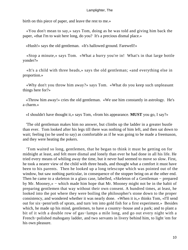birth on this piece of paper, and leave the rest to me.»

 «You don't mean to say,» says Tom, doing as he was told and giving him back the paper, «that I'm to wait here long, do you? It's a precious dismal place.»

«Hush!» says the old gentleman. «It's hallowed ground. Farewell!»

 «Stop a minute,» says Tom. «What a hurry you're in! What's in that large bottle yonder?»

 «It's a child with three heads,» says the old gentleman; «and everything else in proportion.»

 «Why don't you throw him away?» says Tom. «What do you keep such unpleasant things here for?»

 «Throw him away!» cries the old gentleman. «We use him constantly in astrology. He's a charm.»

«I shouldn't have thought it,» says Tom, «from his appearance. **MUST** you go, I say?»

 'The old gentleman makes him no answer, but climbs up the ladder in a greater bustle than ever. Tom looked after his legs till there was nothing of him left, and then sat down to wait; feeling (so he used to say) as comfortable as if he was going to be made a freemason, and they were heating the pokers.

 'Tom waited so long, gentlemen, that he began to think it must be getting on for midnight at least, and felt more dismal and lonely than ever he had done in all his life. He tried every means of whiling away the time, but it never had seemed to move so slow. First, he took a nearer view of the child with three heads, and thought what a comfort it must have been to his parents. Then he looked up a long telescope which was pointed out of the window, but saw nothing particular, in consequence of the stopper being on at the other end. Then he came to a skeleton in a glass case, labelled, «Skeleton of a Gentleman − prepared by Mr. Mooney,» − which made him hope that Mr. Mooney might not be in the habit of preparing gentlemen that way without their own consent. A hundred times, at least, he looked into the pot where they were boiling the philosopher's stone down to the proper consistency, and wondered whether it was nearly done. «When it is,» thinks Tom, «I'll send out for six−penn'orth of sprats, and turn 'em into gold fish for a first experiment.» Besides which, he made up his mind, gentlemen, to have a country−house and a park; and to plant a bit of it with a double row of gas−lamps a mile long, and go out every night with a French−polished mahogany ladder, and two servants in livery behind him, to light 'em for his own pleasure.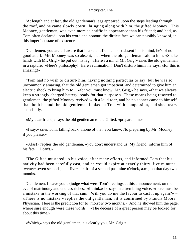'At length and at last, the old gentleman's legs appeared upon the steps leading through the roof, and he came slowly down: bringing along with him, the gifted Mooney. This Mooney, gentlemen, was even more scientific in appearance than his friend; and had, as Tom often declared upon his word and honour, the dirtiest face we can possibly know of, in this imperfect state of existence.

 'Gentlemen, you are all aware that if a scientific man isn't absent in his mind, he's of no good at all. Mr. Mooney was so absent, that when the old gentleman said to him, «Shake hands with Mr. Grig,» he put out his leg. «Here's a mind, Mr. Grig!» cries the old gentleman in a rapture. «Here's philosophy! Here's rumination! Don't disturb him,» he says, «for this is amazing!»

 'Tom had no wish to disturb him, having nothing particular to say; but he was so uncommonly amazing, that the old gentleman got impatient, and determined to give him an electric shock to bring him to − «for you must know, Mr. Grig,» he says, «that we always keep a strongly charged battery, ready for that purpose.» These means being resorted to, gentlemen, the gifted Mooney revived with a loud roar, and he no sooner came to himself than both he and the old gentleman looked at Tom with compassion, and shed tears abundantly.

«My dear friend,» says the old gentleman to the Gifted, «prepare him.»

 «I say,» cries Tom, falling back, «none of that, you know. No preparing by Mr. Mooney if you please.»

 «Alas!» replies the old gentleman, «you don't understand us. My friend, inform him of his fate. − I can't.»

 'The Gifted mustered up his voice, after many efforts, and informed Tom that his nativity had been carefully cast, and he would expire at exactly thirty−five minutes, twenty−seven seconds, and five− sixths of a second past nine o'clock, a.m., on that day two months.

 'Gentlemen, I leave you to judge what were Tom's feelings at this announcement, on the eve of matrimony and endless riches. «I think,» he says in a trembling voice, «there must be a mistake in the working of that sum. Will you do me the favour to cast it up again?» − «There is no mistake,» replies the old gentleman, «it is confirmed by Francis Moore, Physician. Here is the prediction for to−morrow two months.» And he showed him the page, where sure enough were these words – «The decease of a great person may be looked for, about this time.»

«Which,» says the old gentleman, «is clearly you, Mr. Grig.»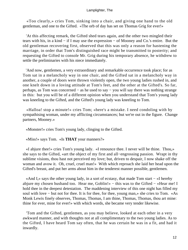«Too clearly,» cries Tom, sinking into a chair, and giving one hand to the old gentleman, and one to the Gifted. «The orb of day has set on Thomas Grig for ever!»

 'At this affecting remark, the Gifted shed tears again, and the other two mingled their tears with his, in a kind − if I may use the expression − of Mooney and Co.'s entire. But the old gentleman recovering first, observed that this was only a reason for hastening the marriage, in order that Tom's distinguished race might be transmitted to posterity; and requesting the Gifted to console Mr. Grig during his temporary absence, he withdrew to settle the preliminaries with his niece immediately.

 'And now, gentlemen, a very extraordinary and remarkable occurrence took place; for as Tom sat in a melancholy way in one chair, and the Gifted sat in a melancholy way in another, a couple of doors were thrown violently open, the two young ladies rushed in, and one knelt down in a loving attitude at Tom's feet, and the other at the Gifted's. So far, perhaps, as Tom was concerned − as he used to say − you will say there was nothing strange in this: but you will be of a different opinion when you understand that Tom's young lady was kneeling to the Gifted, and the Gifted's young lady was kneeling to Tom.

 «Halloa! stop a minute!» cries Tom; «here's a mistake. I need condoling with by sympathising woman, under my afflicting circumstances; but we're out in the figure. Change partners, Mooney.»

«Monster!» cries Tom's young lady, clinging to the Gifted.

«Miss!» says Tom. «Is **THAT** your manners?»

 «I abjure thee!» cries Tom's young lady. «I renounce thee. I never will be thine. Thou,» she says to the Gifted, «art the object of my first and all−engrossing passion. Wrapt in thy sublime visions, thou hast not perceived my love; but, driven to despair, I now shake off the woman and avow it. Oh, cruel, cruel man!» With which reproach she laid her head upon the Gifted's breast, and put her arms about him in the tenderest manner possible, gentlemen.

 «And I,» says the other young lady, in a sort of ecstasy, that made Tom start − «I hereby abjure my chosen husband too. Hear me, Goblin!» − this was to the Gifted − «Hear me! I hold thee in the deepest detestation. The maddening interview of this one night has filled my soul with love – but not for thee. It is for thee, for thee, young man,» she cries to Tom. «As Monk Lewis finely observes, Thomas, Thomas, I am thine, Thomas, Thomas, thou art mine: thine for ever, mine for ever!» with which words, she became very tender likewise.

 'Tom and the Gifted, gentlemen, as you may believe, looked at each other in a very awkward manner, and with thoughts not at all complimentary to the two young ladies. As to the Gifted, I have heard Tom say often, that he was certain he was in a fit, and had it inwardly.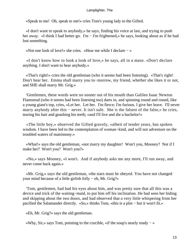«Speak to me! Oh, speak to me!» cries Tom's young lady to the Gifted.

 «I don't want to speak to anybody,» he says, finding his voice at last, and trying to push her away. «I think I had better go. I'm − I'm frightened,» he says, looking about as if he had lost something.

«Not one look of love!» she cries. «Hear me while I declare − »

 «I don't know how to look a look of love,» he says, all in a maze. «Don't declare anything. I don't want to hear anybody.»

 «That's right!» cries the old gentleman (who it seems had been listening). «That's right! Don't hear her. Emma shall marry you to−morrow, my friend, whether she likes it or not, and SHE shall marry Mr. Grig.»

 'Gentlemen, these words were no sooner out of his mouth than Galileo Isaac Newton Flamstead (who it seems had been listening too) darts in, and spinning round and round, like a young giant's top, cries, «Let her. Let her. I'm fierce; I'm furious. I give her leave. I'll never marry anybody after this – never. It isn't safe. She is the falsest of the false,» he cries, tearing his hair and gnashing his teeth; «and I'll live and die a bachelor!»

 «The little boy,» observed the Gifted gravely, «albeit of tender years, has spoken wisdom. I have been led to the contemplation of woman−kind, and will not adventure on the troubled waters of matrimony.»

 «What!» says the old gentleman, «not marry my daughter! Won't you, Mooney? Not if I make her? Won't you? Won't you?»

 «No,» says Mooney, «I won't. And if anybody asks me any more, I'll run away, and never come back again.»

 «Mr. Grig,» says the old gentleman, «the stars must be obeyed. You have not changed your mind because of a little girlish folly − eh, Mr. Grig?»

 'Tom, gentlemen, had had his eyes about him, and was pretty sure that all this was a device and trick of the waiting−maid, to put him off his inclination. He had seen her hiding and skipping about the two doors, and had observed that a very little whispering from her pacified the Salamander directly. «So,» thinks Tom, «this is a plot − but it won't fit.»

«Eh, Mr. Grig?» says the old gentleman.

«Why, Sir,» says Tom, pointing to the crucible, «if the soup's nearly ready − »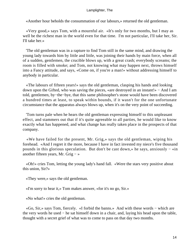«Another hour beholds the consummation of our labours,» returned the old gentleman.

 «Very good,» says Tom, with a mournful air. «It's only for two months, but I may as well be the richest man in the world even for that time. I'm not particular, I'll take her, Sir. I'll take her.»

 'The old gentleman was in a rapture to find Tom still in the same mind, and drawing the young lady towards him by little and little, was joining their hands by main force, when all of a sudden, gentlemen, the crucible blows up, with a great crash; everybody screams; the room is filled with smoke; and Tom, not knowing what may happen next, throws himself into a Fancy attitude, and says, «Come on, if you're a man!» without addressing himself to anybody in particular.

 «The labours of fifteen years!» says the old gentleman, clasping his hands and looking down upon the Gifted, who was saving the pieces, «are destroyed in an instant!» − And I am told, gentlemen, by−the−bye, that this same philosopher's stone would have been discovered a hundred times at least, to speak within bounds, if it wasn't for the one unfortunate circumstance that the apparatus always blows up, when it's on the very point of succeeding.

 'Tom turns pale when he hears the old gentleman expressing himself to this unpleasant effect, and stammers out that if it's quite agreeable to all parties, he would like to know exactly what has happened, and what change has really taken place in the prospects of that company.

 «We have failed for the present, Mr. Grig,» says the old gentleman, wiping his forehead. «And I regret it the more, because I have in fact invested my niece's five thousand pounds in this glorious speculation. But don't be cast down,» he says, anxiously − «in another fifteen years, Mr. Grig − »

 «Oh!» cries Tom, letting the young lady's hand fall. «Were the stars very positive about this union, Sir?»

«They were,» says the old gentleman.

«I'm sorry to hear it,» Tom makes answer, «for it's no go, Sir.»

«No what!» cries the old gentleman.

 «Go, Sir,» says Tom, fiercely. «I forbid the banns.» And with these words − which are the very words he used − he sat himself down in a chair, and, laying his head upon the table, thought with a secret grief of what was to come to pass on that day two months.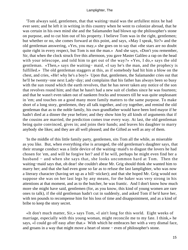'Tom always said, gentlemen, that that waiting−maid was the artfullest minx he had ever seen; and he left it in writing in this country when he went to colonize abroad, that he was certain in his own mind she and the Salamander had blown up the philosopher's stone on purpose, and to cut him out of his property. I believe Tom was in the right, gentlemen; but whether or no, she comes forward at this point, and says, «May I speak, Sir?» and the old gentleman answering, «Yes, you may,» she goes on to say that «the stars are no doubt quite right in every respect, but Tom is not the man.» And she says, «Don't you remember, Sir, that when the clock struck five this afternoon, you gave Master Galileo a rap on the head with your telescope, and told him to get out of the way?» «Yes, I do,» says the old gentleman. «Then,» says the waiting− maid, «I say he's the man, and the prophecy is fulfilled.» The old gentleman staggers at this, as if somebody had hit him a blow on the chest, and cries, «He! why he's a boy!» Upon that, gentlemen, the Salamander cries out that he'll be twenty−one next Lady−day; and complains that his father has always been so busy with the sun round which the earth revolves, that he has never taken any notice of the son that revolves round him; and that he hasn't had a new suit of clothes since he was fourteen; and that he wasn't even taken out of nankeen frocks and trousers till he was quite unpleasant in 'em; and touches on a good many more family matters to the same purpose. To make short of a long story, gentlemen, they all talk together, and cry together, and remind the old gentleman that as to the noble family, his own grandfather would have been lord mayor if he hadn't died at a dinner the year before; and they show him by all kinds of arguments that if the cousins are married, the prediction comes true every way. At last, the old gentleman being quite convinced, gives in; and joins their hands; and leaves his daughter to marry anybody she likes; and they are all well pleased; and the Gifted as well as any of them.

 'In the middle of this little family party, gentlemen, sits Tom all the while, as miserable as you like. But, when everything else is arranged, the old gentleman's daughter says, that their strange conduct was a little device of the waiting−maid's to disgust the lovers he had chosen for 'em, and will he forgive her? and if he will, perhaps he might even find her a husband − and when she says that, she looks uncommon hard at Tom. Then the waiting−maid says that, oh dear! she couldn't abear Mr. Grig should think she wanted him to marry her; and that she had even gone so far as to refuse the last lamplighter, who was now a literary character (having set up as a bill−sticker); and that she hoped Mr. Grig would not suppose she was on her last legs by any means, for the baker was very strong in his attentions at that moment, and as to the butcher, he was frantic. And I don't know how much more she might have said, gentlemen (for, as you know, this kind of young women are rare ones to talk), if the old gentleman hadn't cut in suddenly, and asked Tom if he'd have her, with ten pounds to recompense him for his loss of time and disappointment, and as a kind of bribe to keep the story secret.

 «It don't much matter, Sir,» says Tom, «I ain't long for this world. Eight weeks of marriage, especially with this young woman, might reconcile me to my fate. I think,» he says, «I could go off easy after that.» With which he embraces her with a very dismal face, and groans in a way that might move a heart of stone − even of philosopher's stone.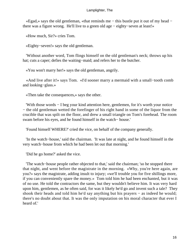«Egad,» says the old gentleman, «that reminds me − this bustle put it out of my head − there was a figure wrong. He'll live to a green old age − eighty−seven at least!»

«How much, Sir?» cries Tom.

«Eighty−seven!» says the old gentleman.

 'Without another word, Tom flings himself on the old gentleman's neck; throws up his hat; cuts a caper; defies the waiting−maid; and refers her to the butcher.

«You won't marry her!» says the old gentleman, angrily.

 «And live after it!» says Tom. «I'd sooner marry a mermaid with a small−tooth comb and looking−glass.»

«Then take the consequences,» says the other.

 'With those words − I beg your kind attention here, gentlemen, for it's worth your notice − the old gentleman wetted the forefinger of his right hand in some of the liquor from the crucible that was spilt on the floor, and drew a small triangle on Tom's forehead. The room swam before his eyes, and he found himself in the watch− house.'

'Found himself WHERE?' cried the vice, on behalf of the company generally.

 'In the watch−house,' said the chairman. 'It was late at night, and he found himself in the very watch−house from which he had been let out that morning.'

'Did he go home?' asked the vice.

 'The watch−house people rather objected to that,' said the chairman; 'so he stopped there that night, and went before the magistrate in the morning. «Why, you're here again, are you?» says the magistrate, adding insult to injury; «we'll trouble you for five shillings more, if you can conveniently spare the money.» Tom told him he had been enchanted, but it was of no use. He told the contractors the same, but they wouldn't believe him. It was very hard upon him, gentlemen, as he often said, for was it likely he'd go and invent such a tale? They shook their heads and told him he'd say anything but his prayers – as indeed he would; there's no doubt about that. It was the only imputation on his moral character that ever I heard of.'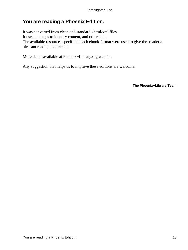## <span id="page-18-0"></span>**You are reading a Phoenix Edition:**

It was converted from clean and standard xhtml/xml files. It uses metatags to identify content, and other data. The available resources specific to each ebook format were used to give the reader a pleasant reading experience.

More detais available at Phoenix−Library.org website.

Any suggestion that helps us to improve these editions are welcome.

**The Phoenix−Library Team**